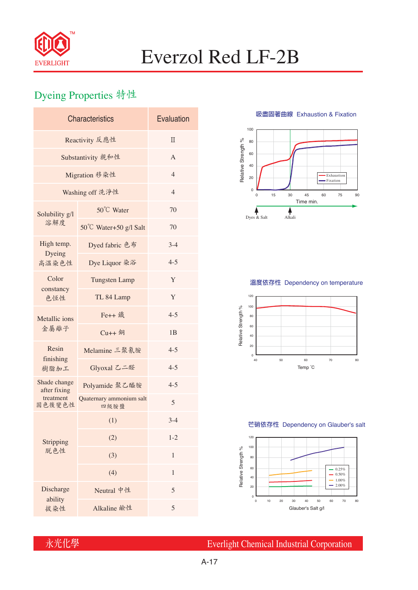

# Everzol Red LF-2B

## Dyeing Properties 特性

| <b>Characteristics</b>       | Evaluation                       |                |  |  |  |
|------------------------------|----------------------------------|----------------|--|--|--|
| Reactivity 反應性               | $\Pi$                            |                |  |  |  |
| Substantivity 親和性            | A                                |                |  |  |  |
| Migration 移染性                | $\overline{4}$                   |                |  |  |  |
| Washing off 洗淨性              | $\overline{4}$                   |                |  |  |  |
| Solubility g/l<br>溶解度        | 50°C Water                       | 70             |  |  |  |
|                              | 50°C Water+50 g/l Salt           | 70             |  |  |  |
| High temp.                   | Dyed fabric 色布                   | $3-4$          |  |  |  |
| Dyeing<br>高溫染色性              | Dye Liquor 染浴                    | $4 - 5$        |  |  |  |
| Color<br>constancy<br>色恆性    | <b>Tungsten Lamp</b>             | Y              |  |  |  |
|                              | TL 84 Lamp                       | Y              |  |  |  |
| Metallic ions<br>金屬離子        | Fe++ 鐵                           | $4 - 5$        |  |  |  |
|                              | $Cu++4$                          | 1 <sub>B</sub> |  |  |  |
| Resin<br>finishing<br>樹脂加工   | Melamine 三聚氰胺                    | $4 - 5$        |  |  |  |
|                              | Glyoxal 乙二醛                      | $4 - 5$        |  |  |  |
| Shade change<br>after fixing | Polyamide 聚乙醯胺                   | $4 - 5$        |  |  |  |
| treatment<br>固色後變色性          | Quaternary ammonium salt<br>四級胺鹽 | 5              |  |  |  |
| Stripping<br>脱色性             | (1)                              | $3-4$          |  |  |  |
|                              | (2)                              | $1 - 2$        |  |  |  |
|                              | (3)                              | $\mathbf{1}$   |  |  |  |
|                              | (4)                              | $\mathbf{1}$   |  |  |  |
| Discharge<br>ability         | Neutral 中性                       | 5              |  |  |  |
| 拔染性                          | Alkaline 鹼性                      | 5              |  |  |  |

**吸盡固著曲線** Exhaustion & Fixation



### **溫度依存性** Dependency on temperature



#### **芒硝依存性** Dependency on Glauber's salt